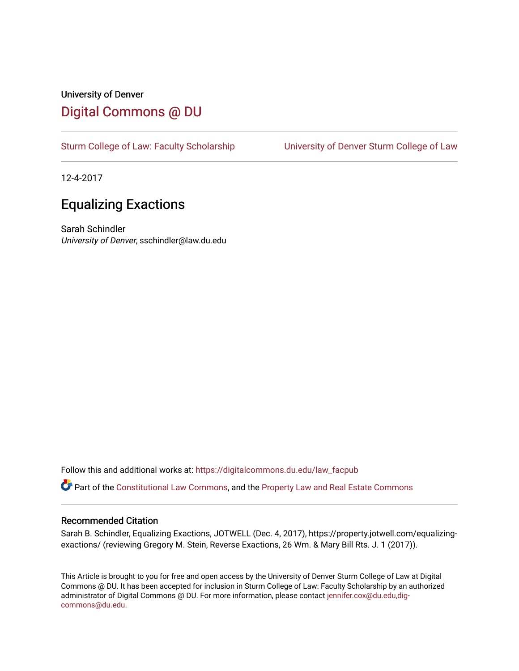## University of Denver [Digital Commons @ DU](https://digitalcommons.du.edu/)

[Sturm College of Law: Faculty Scholarship](https://digitalcommons.du.edu/law_facpub) [University of Denver Sturm College of Law](https://digitalcommons.du.edu/denver_law) 

12-4-2017

# Equalizing Exactions

Sarah Schindler University of Denver, sschindler@law.du.edu

Follow this and additional works at: [https://digitalcommons.du.edu/law\\_facpub](https://digitalcommons.du.edu/law_facpub?utm_source=digitalcommons.du.edu%2Flaw_facpub%2F73&utm_medium=PDF&utm_campaign=PDFCoverPages) 

Part of the [Constitutional Law Commons,](http://network.bepress.com/hgg/discipline/589?utm_source=digitalcommons.du.edu%2Flaw_facpub%2F73&utm_medium=PDF&utm_campaign=PDFCoverPages) and the [Property Law and Real Estate Commons](http://network.bepress.com/hgg/discipline/897?utm_source=digitalcommons.du.edu%2Flaw_facpub%2F73&utm_medium=PDF&utm_campaign=PDFCoverPages) 

#### Recommended Citation

Sarah B. Schindler, Equalizing Exactions, JOTWELL (Dec. 4, 2017), https://property.jotwell.com/equalizingexactions/ (reviewing Gregory M. Stein, Reverse Exactions, 26 Wm. & Mary Bill Rts. J. 1 (2017)).

This Article is brought to you for free and open access by the University of Denver Sturm College of Law at Digital Commons @ DU. It has been accepted for inclusion in Sturm College of Law: Faculty Scholarship by an authorized administrator of Digital Commons @ DU. For more information, please contact [jennifer.cox@du.edu,dig](mailto:jennifer.cox@du.edu,dig-commons@du.edu)[commons@du.edu.](mailto:jennifer.cox@du.edu,dig-commons@du.edu)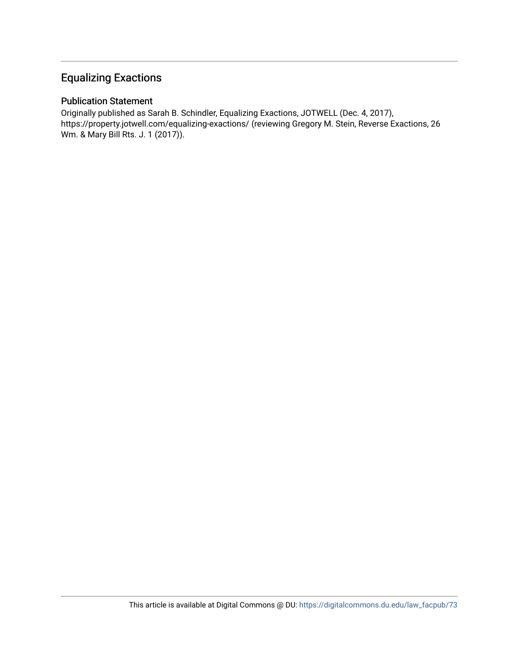### Equalizing Exactions

### Publication Statement

Originally published as Sarah B. Schindler, Equalizing Exactions, JOTWELL (Dec. 4, 2017), https://property.jotwell.com/equalizing-exactions/ (reviewing Gregory M. Stein, Reverse Exactions, 26 Wm. & Mary Bill Rts. J. 1 (2017)).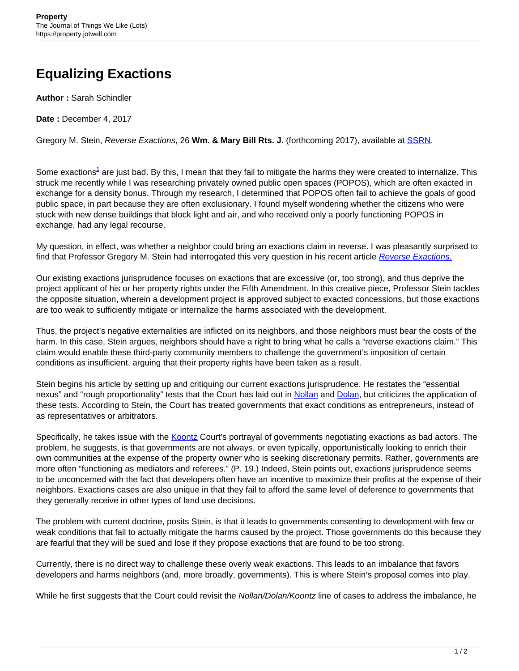# **Equalizing Exactions**

**Author :** Sarah Schindler

**Date :** December 4, 2017

Gregory M. Stein, Reverse Exactions, 26 **Wm. & Mary Bill Rts. J.** (forthcoming 2017), available at [SSRN](https://ssrn.com/abstract=2933013).

Some exactions<sup>1</sup> are just bad. By this, I mean that they fail to mitigate the harms they were created to internalize. This struck me recently while I was researching privately owned public open spaces (POPOS), which are often exacted in exchange for a density bonus. Through my research, I determined that POPOS often fail to achieve the goals of good public space, in part because they are often exclusionary. I found myself wondering whether the citizens who were stuck with new dense buildings that block light and air, and who received only a poorly functioning POPOS in exchange, had any legal recourse.

My question, in effect, was whether a neighbor could bring an exactions claim in reverse. I was pleasantly surprised to find that Professor Gregory M. Stein had interrogated this very question in his recent article [Reverse Exactions](https://ssrn.com/abstract=2933013)[.](https://ssrn.com/abstract=2933013)

Our existing exactions jurisprudence focuses on exactions that are excessive (or, too strong), and thus deprive the project applicant of his or her property rights under the Fifth Amendment. In this creative piece, Professor Stein tackles the opposite situation, wherein a development project is approved subject to exacted concessions, but those exactions are too weak to sufficiently mitigate or internalize the harms associated with the development.

Thus, the project's negative externalities are inflicted on its neighbors, and those neighbors must bear the costs of the harm. In this case, Stein argues, neighbors should have a right to bring what he calls a "reverse exactions claim." This claim would enable these third-party community members to challenge the government's imposition of certain conditions as insufficient, arguing that their property rights have been taken as a result.

Stein begins his article by setting up and critiquing our current exactions jurisprudence. He restates the "essential nexus" and "rough proportionality" tests that the Court has laid out in [Nollan](https://www.law.cornell.edu/supremecourt/text/483/825) and [Dolan,](https://supreme.justia.com/cases/federal/us/512/374/case.html) but criticizes the application of these tests. According to Stein, the Court has treated governments that exact conditions as entrepreneurs, instead of as representatives or arbitrators.

Specifically, he takes issue with the [Koontz](https://www.supremecourt.gov/opinions/12pdf/11-1447_4e46.pdf) Court's portrayal of governments negotiating exactions as bad actors. The problem, he suggests, is that governments are not always, or even typically, opportunistically looking to enrich their own communities at the expense of the property owner who is seeking discretionary permits. Rather, governments are more often "functioning as mediators and referees." (P. 19.) Indeed, Stein points out, exactions jurisprudence seems to be unconcerned with the fact that developers often have an incentive to maximize their profits at the expense of their neighbors. Exactions cases are also unique in that they fail to afford the same level of deference to governments that they generally receive in other types of land use decisions.

The problem with current doctrine, posits Stein, is that it leads to governments consenting to development with few or weak conditions that fail to actually mitigate the harms caused by the project. Those governments do this because they are fearful that they will be sued and lose if they propose exactions that are found to be too strong.

Currently, there is no direct way to challenge these overly weak exactions. This leads to an imbalance that favors developers and harms neighbors (and, more broadly, governments). This is where Stein's proposal comes into play.

While he first suggests that the Court could revisit the Nollan/Dolan/Koontz line of cases to address the imbalance, he